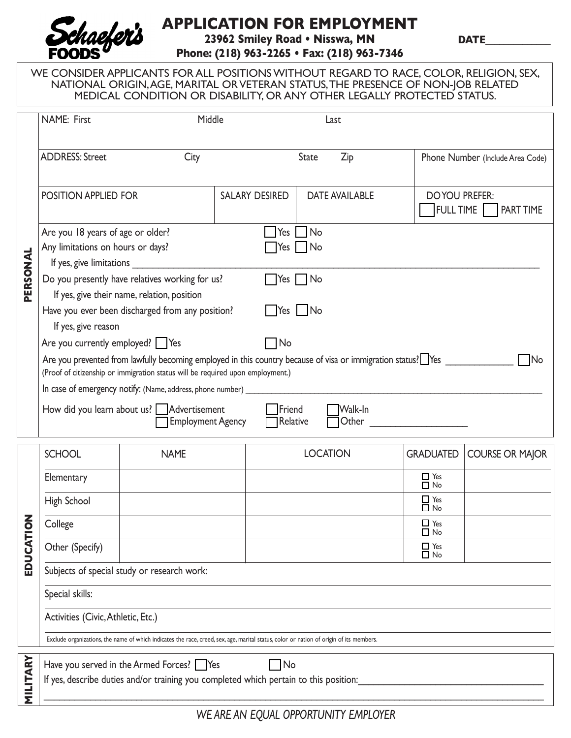

## **APPLICATION FOR EMPLOYMENT**

**23962 Smiley Road • Nisswa, MN**

**DATE\_\_\_\_\_\_\_\_\_\_\_\_\_\_**

**Phone: (218) 963-2265 • Fax: (218) 963-7346**

WE CONSIDER APPLICANTS FOR ALL POSITIONS WITHOUT REGARD TO RACE, COLOR, RELIGION, SEX, NATIONAL ORIGIN, AGE, MARITAL OR VETERAN STATUS, THE PRESENCE OF NON-JOB RELATED MEDICAL CONDITION OR DISABILITY, OR ANY OTHER LEGALLY PROTECTED STATUS.

|                 | <b>NAME: First</b><br>Middle<br>Last                                                                                                                                                                                                                                                                                                                                                                                                                                                                                                                                                                                                                                                                                                                           |                                                                                                                                   |                                         |                 |                         |                                              |  |
|-----------------|----------------------------------------------------------------------------------------------------------------------------------------------------------------------------------------------------------------------------------------------------------------------------------------------------------------------------------------------------------------------------------------------------------------------------------------------------------------------------------------------------------------------------------------------------------------------------------------------------------------------------------------------------------------------------------------------------------------------------------------------------------------|-----------------------------------------------------------------------------------------------------------------------------------|-----------------------------------------|-----------------|-------------------------|----------------------------------------------|--|
| PERSONAL        | <b>ADDRESS: Street</b><br>City                                                                                                                                                                                                                                                                                                                                                                                                                                                                                                                                                                                                                                                                                                                                 |                                                                                                                                   | State<br>Zip                            |                 |                         | Phone Number (Include Area Code)             |  |
|                 | POSITION APPLIED FOR                                                                                                                                                                                                                                                                                                                                                                                                                                                                                                                                                                                                                                                                                                                                           |                                                                                                                                   | SALARY DESIRED<br><b>DATE AVAILABLE</b> |                 |                         | <b>DOYOU PREFER:</b><br>FULL TIME TRART TIME |  |
|                 | No<br>Are you 18 years of age or older?<br>$\left  \text{Yes} \right $<br>Any limitations on hours or days?<br>Yes No<br>If yes, give limitations _<br>Do you presently have relatives working for us?<br>$\Box$ Yes $\Box$ No<br>If yes, give their name, relation, position<br>Have you ever been discharged from any position?<br>Yes No<br>If yes, give reason<br>Are you currently employed? $\bigcap$ Yes<br>$\neg$ No<br>Are you prevented from lawfully becoming employed in this country because of visa or immigration status? Nes<br><b>No</b><br>(Proof of citizenship or immigration status will be required upon employment.)<br>How did you learn about us? Advertisement<br>Friend<br>Walk-In<br>Other<br><b>Employment Agency</b><br>Relative |                                                                                                                                   |                                         |                 |                         |                                              |  |
|                 | <b>SCHOOL</b>                                                                                                                                                                                                                                                                                                                                                                                                                                                                                                                                                                                                                                                                                                                                                  | <b>NAME</b>                                                                                                                       |                                         | <b>LOCATION</b> | <b>GRADUATED</b>        | <b>COURSE OR MAJOR</b>                       |  |
|                 | Elementary                                                                                                                                                                                                                                                                                                                                                                                                                                                                                                                                                                                                                                                                                                                                                     |                                                                                                                                   |                                         |                 | $\Box$ Yes<br>$\Box$ No |                                              |  |
|                 | High School                                                                                                                                                                                                                                                                                                                                                                                                                                                                                                                                                                                                                                                                                                                                                    |                                                                                                                                   |                                         |                 | $\Box$ Yes<br>$\Box$ No |                                              |  |
| 증               | College                                                                                                                                                                                                                                                                                                                                                                                                                                                                                                                                                                                                                                                                                                                                                        |                                                                                                                                   |                                         |                 | $\Box$ Yes<br>$\Box$ No |                                              |  |
| EDUCATI         | Other (Specify)                                                                                                                                                                                                                                                                                                                                                                                                                                                                                                                                                                                                                                                                                                                                                |                                                                                                                                   |                                         |                 | $\Box$ Yes<br>$\Box$ No |                                              |  |
|                 | Subjects of special study or research work:                                                                                                                                                                                                                                                                                                                                                                                                                                                                                                                                                                                                                                                                                                                    |                                                                                                                                   |                                         |                 |                         |                                              |  |
|                 | Special skills:                                                                                                                                                                                                                                                                                                                                                                                                                                                                                                                                                                                                                                                                                                                                                |                                                                                                                                   |                                         |                 |                         |                                              |  |
|                 | Activities (Civic, Athletic, Etc.)                                                                                                                                                                                                                                                                                                                                                                                                                                                                                                                                                                                                                                                                                                                             |                                                                                                                                   |                                         |                 |                         |                                              |  |
|                 | Exclude organizations, the name of which indicates the race, creed, sex, age, marital status, color or nation of origin of its members.                                                                                                                                                                                                                                                                                                                                                                                                                                                                                                                                                                                                                        |                                                                                                                                   |                                         |                 |                         |                                              |  |
| <b>MILITARY</b> |                                                                                                                                                                                                                                                                                                                                                                                                                                                                                                                                                                                                                                                                                                                                                                | Have you served in the Armed Forces? Yes<br>If yes, describe duties and/or training you completed which pertain to this position: | $\n  No\n$                              |                 |                         |                                              |  |